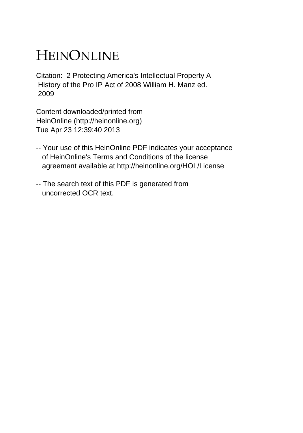## HEINONLINE

Citation: 2 Protecting America's Intellectual Property A History of the Pro IP Act of 2008 William H. Manz ed. 2009

Content downloaded/printed from HeinOnline (http://heinonline.org) Tue Apr 23 12:39:40 2013

- -- Your use of this HeinOnline PDF indicates your acceptance of HeinOnline's Terms and Conditions of the license agreement available at http://heinonline.org/HOL/License
- -- The search text of this PDF is generated from uncorrected OCR text.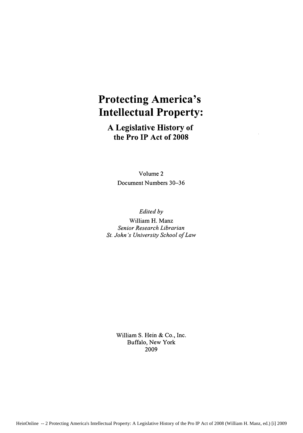## **Protecting America's Intellectual Property:**

**A Legislative History of the Pro IP Act of 2008**

> Volume 2 Document Numbers **30-36**

*Edited by* William H. Manz *Senior Research Librarian St. John's University School of Law*

> William **S. Hein &** Co., Inc. Buffalo, New York **2009**

HeinOnline -- 2 Protecting America's Intellectual Property: A Legislative History of the Pro IP Act of 2008 (William H. Manz, ed.) [i] 2009